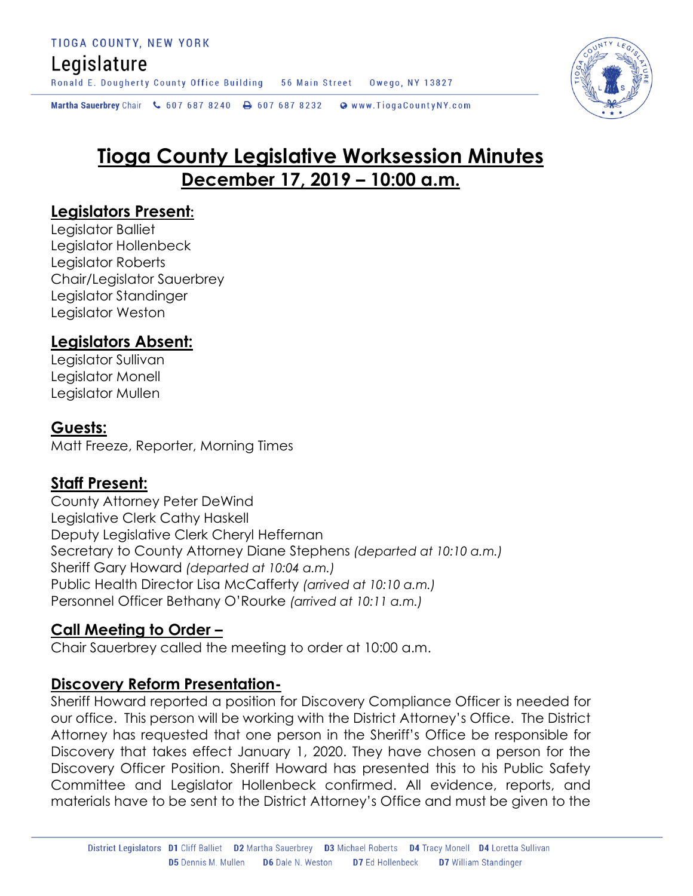# Legislature

Ronald E. Dougherty County Office Building 56 Main Street Owego, NY 13827

Martha Sauerbrey Chair & 607 687 8240  $\rightarrow$  607 687 8232 Www.TiogaCountyNY.com

# **Tioga County Legislative Worksession Minutes December 17, 2019 – 10:00 a.m.**

# **Legislators Present:**

Legislator Balliet Legislator Hollenbeck Legislator Roberts Chair/Legislator Sauerbrey Legislator Standinger Legislator Weston

## **Legislators Absent:**

Legislator Sullivan Legislator Monell Legislator Mullen

## **Guests:**

Matt Freeze, Reporter, Morning Times

# **Staff Present:**

County Attorney Peter DeWind Legislative Clerk Cathy Haskell Deputy Legislative Clerk Cheryl Heffernan Secretary to County Attorney Diane Stephens *(departed at 10:10 a.m.)* Sheriff Gary Howard *(departed at 10:04 a.m.)* Public Health Director Lisa McCafferty *(arrived at 10:10 a.m.)* Personnel Officer Bethany O'Rourke *(arrived at 10:11 a.m.)*

# **Call Meeting to Order –**

Chair Sauerbrey called the meeting to order at 10:00 a.m.

# **Discovery Reform Presentation-**

Sheriff Howard reported a position for Discovery Compliance Officer is needed for our office. This person will be working with the District Attorney's Office. The District Attorney has requested that one person in the Sheriff's Office be responsible for Discovery that takes effect January 1, 2020. They have chosen a person for the Discovery Officer Position. Sheriff Howard has presented this to his Public Safety Committee and Legislator Hollenbeck confirmed. All evidence, reports, and materials have to be sent to the District Attorney's Office and must be given to the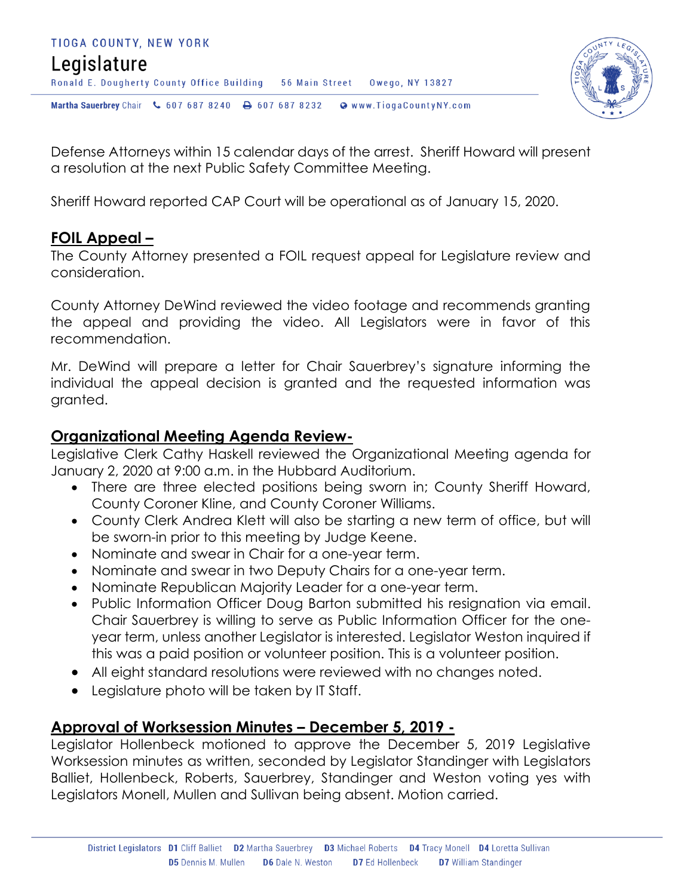



Defense Attorneys within 15 calendar days of the arrest. Sheriff Howard will present a resolution at the next Public Safety Committee Meeting.

Sheriff Howard reported CAP Court will be operational as of January 15, 2020.

# **FOIL Appeal –**

The County Attorney presented a FOIL request appeal for Legislature review and consideration.

County Attorney DeWind reviewed the video footage and recommends granting the appeal and providing the video. All Legislators were in favor of this recommendation.

Mr. DeWind will prepare a letter for Chair Sauerbrey's signature informing the individual the appeal decision is granted and the requested information was granted.

# **Organizational Meeting Agenda Review-**

Legislative Clerk Cathy Haskell reviewed the Organizational Meeting agenda for January 2, 2020 at 9:00 a.m. in the Hubbard Auditorium.

- There are three elected positions being sworn in; County Sheriff Howard, County Coroner Kline, and County Coroner Williams.
- County Clerk Andrea Klett will also be starting a new term of office, but will be sworn-in prior to this meeting by Judge Keene.
- Nominate and swear in Chair for a one-year term.
- Nominate and swear in two Deputy Chairs for a one-year term.
- Nominate Republican Majority Leader for a one-year term.
- Public Information Officer Doug Barton submitted his resignation via email. Chair Sauerbrey is willing to serve as Public Information Officer for the oneyear term, unless another Legislator is interested. Legislator Weston inquired if this was a paid position or volunteer position. This is a volunteer position.
- All eight standard resolutions were reviewed with no changes noted.
- Legislature photo will be taken by IT Staff.

# **Approval of Worksession Minutes – December 5, 2019 -**

Legislator Hollenbeck motioned to approve the December 5, 2019 Legislative Worksession minutes as written, seconded by Legislator Standinger with Legislators Balliet, Hollenbeck, Roberts, Sauerbrey, Standinger and Weston voting yes with Legislators Monell, Mullen and Sullivan being absent. Motion carried.